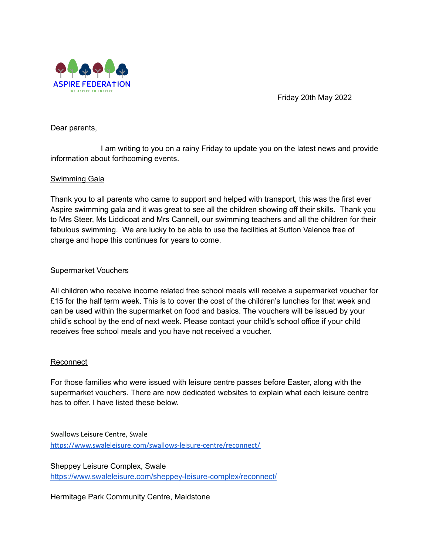

Friday 20th May 2022

Dear parents,

I am writing to you on a rainy Friday to update you on the latest news and provide information about forthcoming events.

# Swimming Gala

Thank you to all parents who came to support and helped with transport, this was the first ever Aspire swimming gala and it was great to see all the children showing off their skills. Thank you to Mrs Steer, Ms Liddicoat and Mrs Cannell, our swimming teachers and all the children for their fabulous swimming. We are lucky to be able to use the facilities at Sutton Valence free of charge and hope this continues for years to come.

## Supermarket Vouchers

All children who receive income related free school meals will receive a supermarket voucher for £15 for the half term week. This is to cover the cost of the children's lunches for that week and can be used within the supermarket on food and basics. The vouchers will be issued by your child's school by the end of next week. Please contact your child's school office if your child receives free school meals and you have not received a voucher.

## Reconnect

For those families who were issued with leisure centre passes before Easter, along with the supermarket vouchers. There are now dedicated websites to explain what each leisure centre has to offer. I have listed these below.

Swallows Leisure Centre, Swale <https://www.swaleleisure.com/swallows-leisure-centre/reconnect/>

Sheppey Leisure Complex, Swale <https://www.swaleleisure.com/sheppey-leisure-complex/reconnect/>

Hermitage Park Community Centre, Maidstone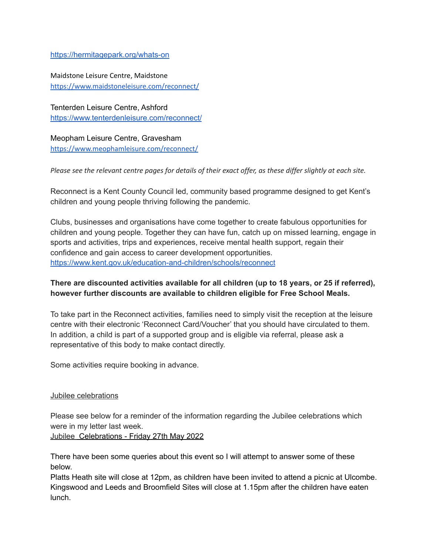#### <https://hermitagepark.org/whats-on>

Maidstone Leisure Centre, Maidstone <https://www.maidstoneleisure.com/reconnect/>

Tenterden Leisure Centre, Ashford <https://www.tenterdenleisure.com/reconnect/>

Meopham Leisure Centre, Gravesham <https://www.meophamleisure.com/reconnect/>

Please see the relevant centre pages for details of their exact offer, as these differ slightly at each site.

Reconnect is a Kent County Council led, community based programme designed to get Kent's children and young people thriving following the pandemic.

Clubs, businesses and organisations have come together to create fabulous opportunities for children and young people. Together they can have fun, catch up on missed learning, engage in sports and activities, trips and experiences, receive mental health support, regain their confidence and gain access to career development opportunities. <https://www.kent.gov.uk/education-and-children/schools/reconnect>

# **There are discounted activities available for all children (up to 18 years, or 25 if referred), however further discounts are available to children eligible for Free School Meals.**

To take part in the Reconnect activities, families need to simply visit the reception at the leisure centre with their electronic 'Reconnect Card/Voucher' that you should have circulated to them. In addition, a child is part of a supported group and is eligible via referral, please ask a representative of this body to make contact directly.

Some activities require booking in advance.

## Jubilee celebrations

Please see below for a reminder of the information regarding the Jubilee celebrations which were in my letter last week.

Jubilee Celebrations - Friday 27th May 2022

There have been some queries about this event so I will attempt to answer some of these below.

Platts Heath site will close at 12pm, as children have been invited to attend a picnic at Ulcombe. Kingswood and Leeds and Broomfield Sites will close at 1.15pm after the children have eaten lunch.